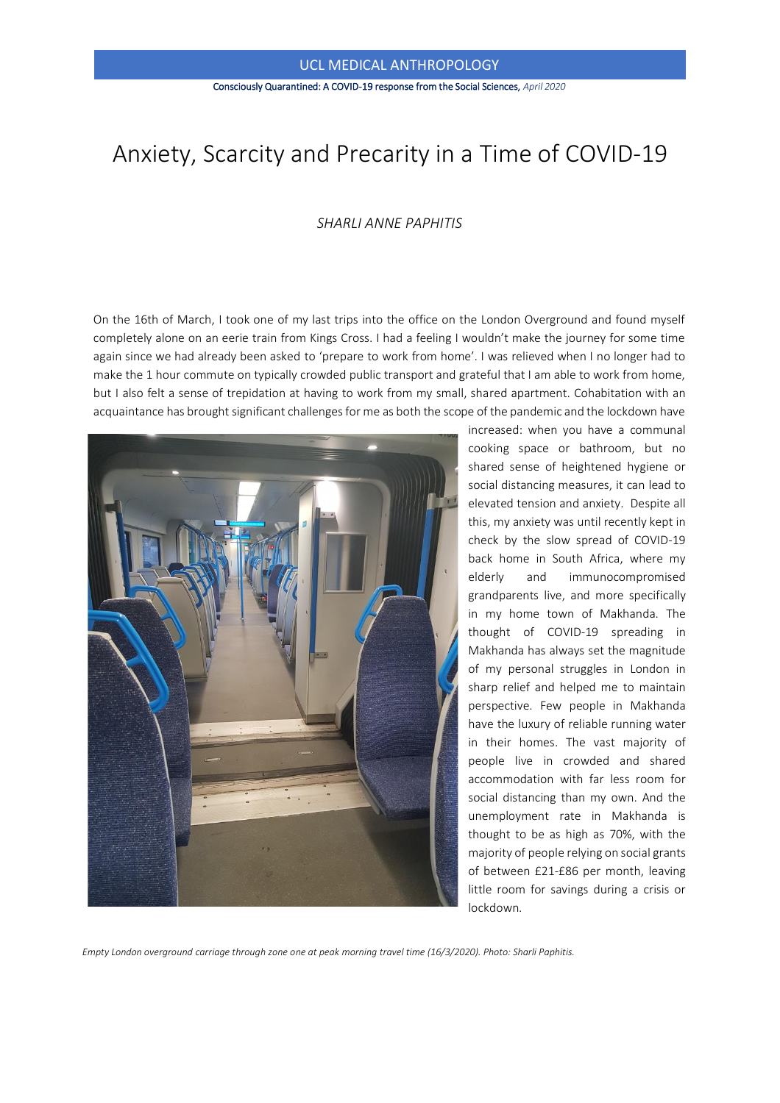#### Consciously Quarantined: A COVID-19 response from the Social Sciences, *April 2020*

# Anxiety, Scarcity and Precarity in a Time of COVID-19

## *SHARLI ANNE PAPHITIS*

On the 16th of March, I took one of my last trips into the office on the London Overground and found myself completely alone on an eerie train from Kings Cross. I had a feeling I wouldn't make the journey for some time again since we had already been asked to 'prepare to work from home'. I was relieved when I no longer had to make the 1 hour commute on typically crowded public transport and grateful that I am able to work from home, but I also felt a sense of trepidation at having to work from my small, shared apartment. Cohabitation with an acquaintance has brought significant challenges for me as both the scope of the pandemic and the lockdown have



increased: when you have a communal cooking space or bathroom, but no shared sense of heightened hygiene or social distancing measures, it can lead to elevated tension and anxiety. Despite all this, my anxiety was until recently kept in check by the slow spread of COVID-19 back home in South Africa, where my elderly and immunocompromised grandparents live, and more specifically in my home town of Makhanda. The thought of COVID-19 spreading in Makhanda has always set the magnitude of my personal struggles in London in sharp relief and helped me to maintain perspective. Few people in Makhanda have the luxury of reliable running water in their homes. The vast majority of people live in crowded and shared accommodation with far less room for social distancing than my own. And the unemployment rate in Makhanda is thought to be as high as 70%, with the majority of people relying on social grants of between £21-£86 per month, leaving little room for savings during a crisis or lockdown.

*Empty London overground carriage through zone one at peak morning travel time (16/3/2020). Photo: Sharli Paphitis.*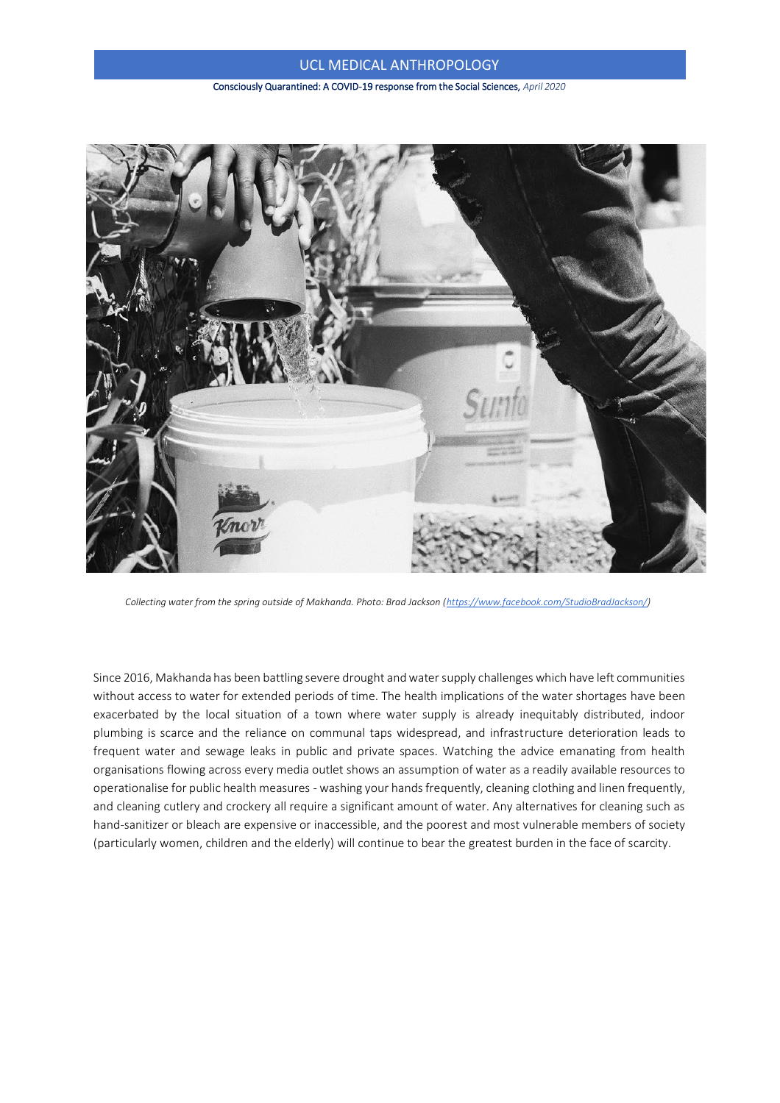#### Consciously Quarantined: A COVID-19 response from the Social Sciences, *April 2020*



*Collecting water from the spring outside of Makhanda. Photo: Brad Jackson [\(https://www.facebook.com/StudioBradJackson/\)](https://www.facebook.com/StudioBradJackson/)*

Since 2016, Makhanda has been battling severe drought and water supply challenges which have left communities without access to water for extended periods of time. The health implications of the water shortages have been exacerbated by the local situation of a town where water supply is already inequitably distributed, indoor plumbing is scarce and the reliance on communal taps widespread, and infrastructure deterioration leads to frequent water and sewage leaks in public and private spaces. Watching the advice emanating from health organisations flowing across every media outlet shows an assumption of water as a readily available resources to operationalise for public health measures - washing your hands frequently, cleaning clothing and linen frequently, and cleaning cutlery and crockery all require a significant amount of water. Any alternatives for cleaning such as hand-sanitizer or bleach are expensive or inaccessible, and the poorest and most vulnerable members of society (particularly women, children and the elderly) will continue to bear the greatest burden in the face of scarcity.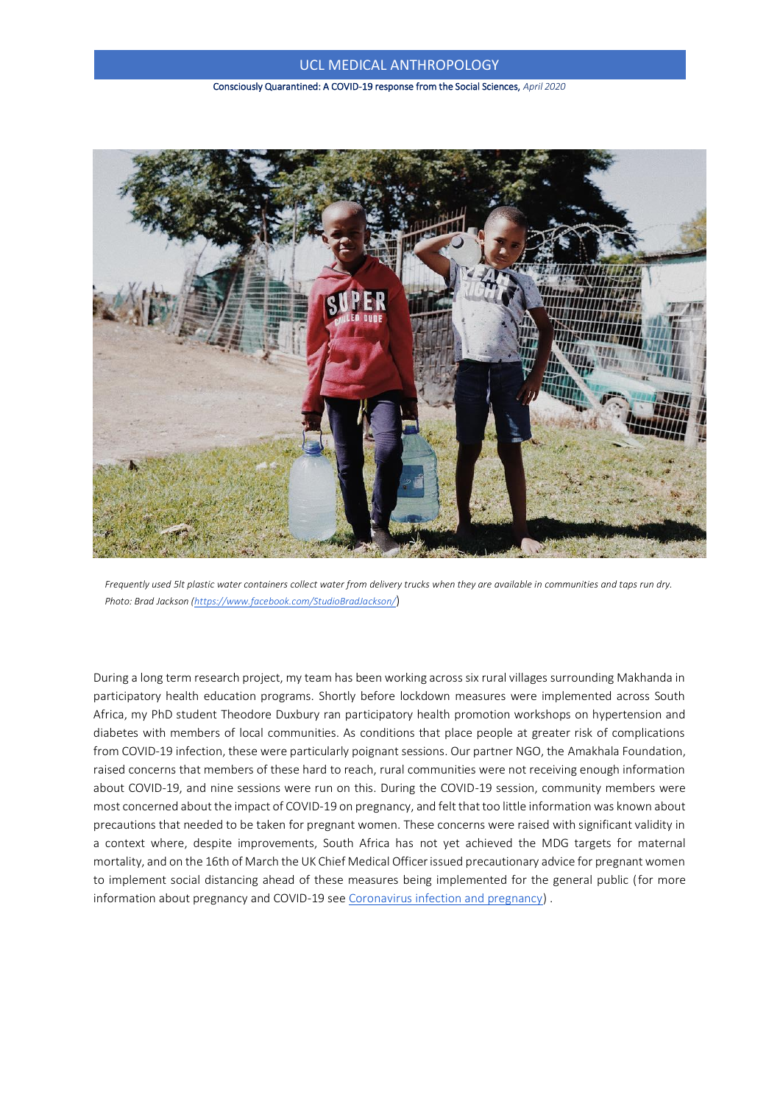Consciously Quarantined: A COVID-19 response from the Social Sciences, *April 2020*



*Frequently used 5lt plastic water containers collect water from delivery trucks when they are available in communities and taps run dry. Photo: Brad Jackson [\(https://www.facebook.com/StudioBradJackson/](https://www.facebook.com/StudioBradJackson/)*)

During a long term research project, my team has been working across six rural villages surrounding Makhanda in participatory health education programs. Shortly before lockdown measures were implemented across South Africa, my PhD student Theodore Duxbury ran participatory health promotion workshops on hypertension and diabetes with members of local communities. As conditions that place people at greater risk of complications from COVID-19 infection, these were particularly poignant sessions. Our partner NGO, the Amakhala Foundation, raised concerns that members of these hard to reach, rural communities were not receiving enough information about COVID-19, and nine sessions were run on this. During the COVID-19 session, community members were most concerned about the impact of COVID-19 on pregnancy, and felt that too little information was known about precautions that needed to be taken for pregnant women. These concerns were raised with significant validity in a context where, despite improvements, South Africa has not yet achieved the MDG targets for maternal mortality, and on the 16th of March the UK Chief Medical Officer issued precautionary advice for pregnant women to implement social distancing ahead of these measures being implemented for the general public (for more information about pregnancy and COVID-19 see [Coronavirus infection and pregnancy\)](https://www.rcog.org.uk/en/guidelines-research-services/guidelines/coronavirus-pregnancy/covid-19-virus-infection-and-pregnancy/) .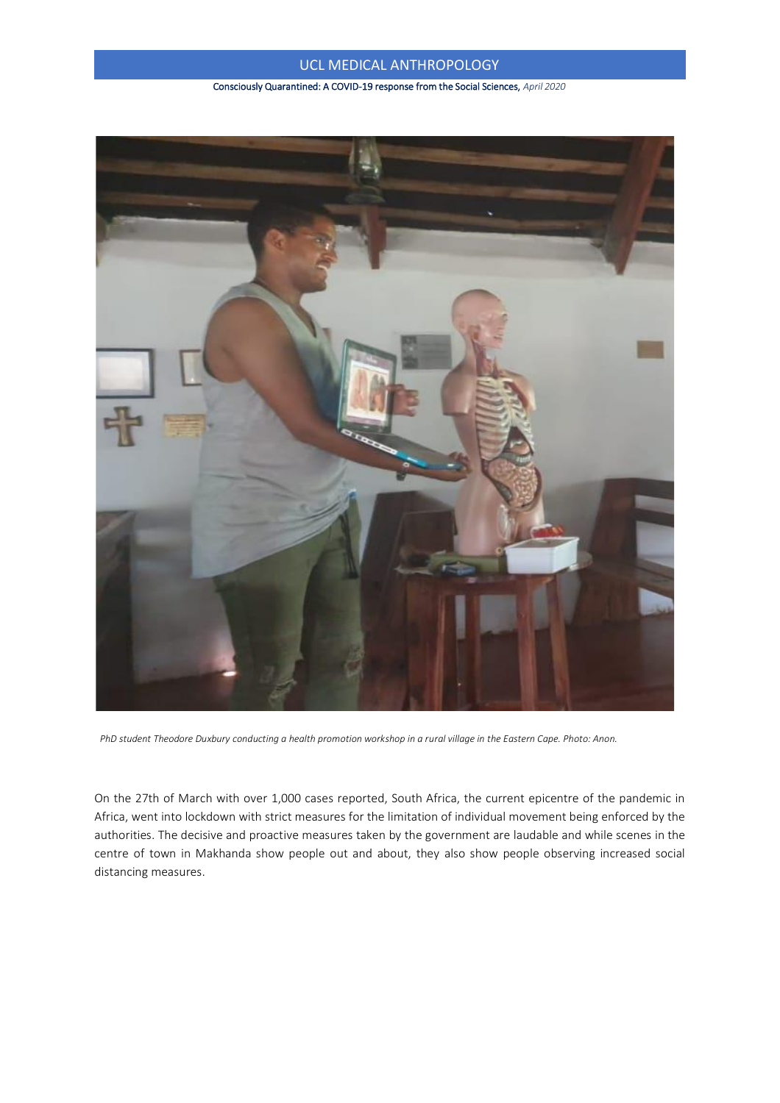### Consciously Quarantined: A COVID-19 response from the Social Sciences, *April 2020*



*PhD student Theodore Duxbury conducting a health promotion workshop in a rural village in the Eastern Cape. Photo: Anon.*

On the 27th of March with over 1,000 cases reported, South Africa, the current epicentre of the pandemic in Africa, went into lockdown with strict measures for the limitation of individual movement being enforced by the authorities. The decisive and proactive measures taken by the government are laudable and while scenes in the centre of town in Makhanda show people out and about, they also show people observing increased social distancing measures.